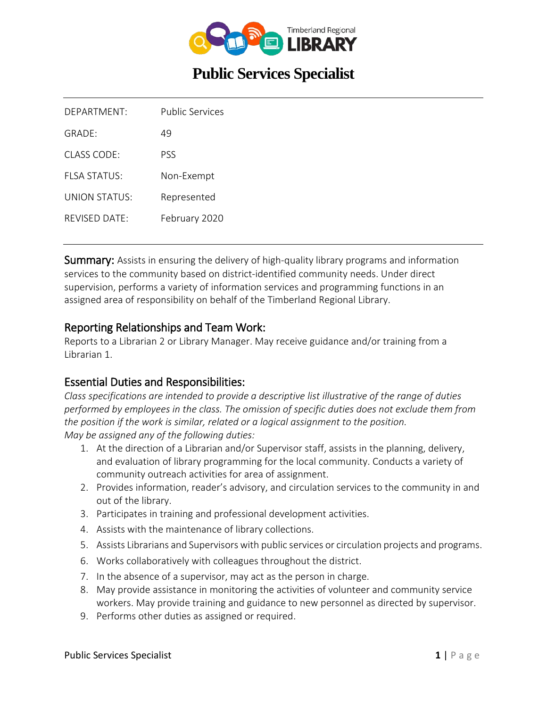

# **Public Services Specialist**

| DFPARTMENT                | <b>Public Services</b> |
|---------------------------|------------------------|
| GRADF:                    | 49                     |
| $CIASS$ $CODF$            | PSS                    |
| FI SA STATUS              | Non-Exempt             |
| UNION STATUS <sup>.</sup> | Represented            |
| $RFV$ ISED DATE:          | February 2020          |
|                           |                        |

Summary: Assists in ensuring the delivery of high-quality library programs and information services to the community based on district-identified community needs. Under direct supervision, performs a variety of information services and programming functions in an assigned area of responsibility on behalf of the Timberland Regional Library.

#### Reporting Relationships and Team Work:

Reports to a Librarian 2 or Library Manager. May receive guidance and/or training from a Librarian 1.

#### Essential Duties and Responsibilities:

*Class specifications are intended to provide a descriptive list illustrative of the range of duties performed by employees in the class. The omission of specific duties does not exclude them from the position if the work is similar, related or a logical assignment to the position. May be assigned any of the following duties:*

- 1. At the direction of a Librarian and/or Supervisor staff, assists in the planning, delivery, and evaluation of library programming for the local community. Conducts a variety of community outreach activities for area of assignment.
- 2. Provides information, reader's advisory, and circulation services to the community in and out of the library.
- 3. Participates in training and professional development activities.
- 4. Assists with the maintenance of library collections.
- 5. Assists Librarians and Supervisors with public services or circulation projects and programs.
- 6. Works collaboratively with colleagues throughout the district.
- 7. In the absence of a supervisor, may act as the person in charge.
- 8. May provide assistance in monitoring the activities of volunteer and community service workers. May provide training and guidance to new personnel as directed by supervisor.
- 9. Performs other duties as assigned or required.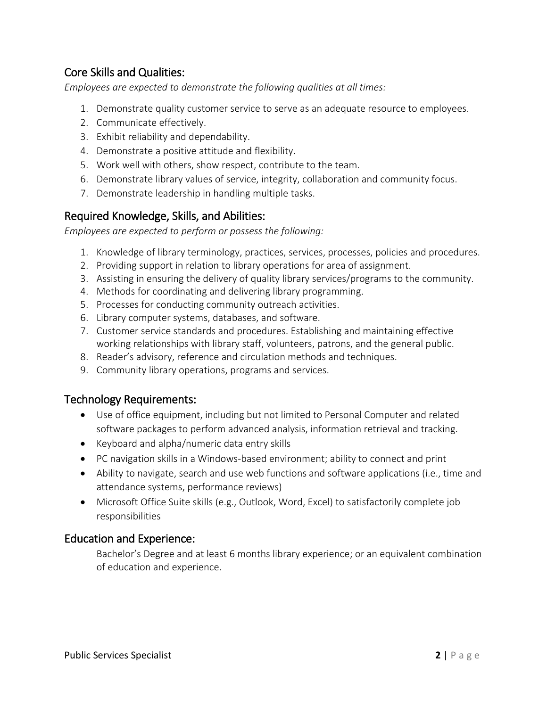# Core Skills and Qualities:

*Employees are expected to demonstrate the following qualities at all times:*

- 1. Demonstrate quality customer service to serve as an adequate resource to employees.
- 2. Communicate effectively.
- 3. Exhibit reliability and dependability.
- 4. Demonstrate a positive attitude and flexibility.
- 5. Work well with others, show respect, contribute to the team.
- 6. Demonstrate library values of service, integrity, collaboration and community focus.
- 7. Demonstrate leadership in handling multiple tasks.

### Required Knowledge, Skills, and Abilities:

*Employees are expected to perform or possess the following:*

- 1. Knowledge of library terminology, practices, services, processes, policies and procedures.
- 2. Providing support in relation to library operations for area of assignment.
- 3. Assisting in ensuring the delivery of quality library services/programs to the community.
- 4. Methods for coordinating and delivering library programming.
- 5. Processes for conducting community outreach activities.
- 6. Library computer systems, databases, and software.
- 7. Customer service standards and procedures. Establishing and maintaining effective working relationships with library staff, volunteers, patrons, and the general public.
- 8. Reader's advisory, reference and circulation methods and techniques.
- 9. Community library operations, programs and services.

#### Technology Requirements:

- Use of office equipment, including but not limited to Personal Computer and related software packages to perform advanced analysis, information retrieval and tracking.
- Keyboard and alpha/numeric data entry skills
- PC navigation skills in a Windows-based environment; ability to connect and print
- Ability to navigate, search and use web functions and software applications (i.e., time and attendance systems, performance reviews)
- Microsoft Office Suite skills (e.g., Outlook, Word, Excel) to satisfactorily complete job responsibilities

#### Education and Experience:

Bachelor's Degree and at least 6 months library experience; or an equivalent combination of education and experience.